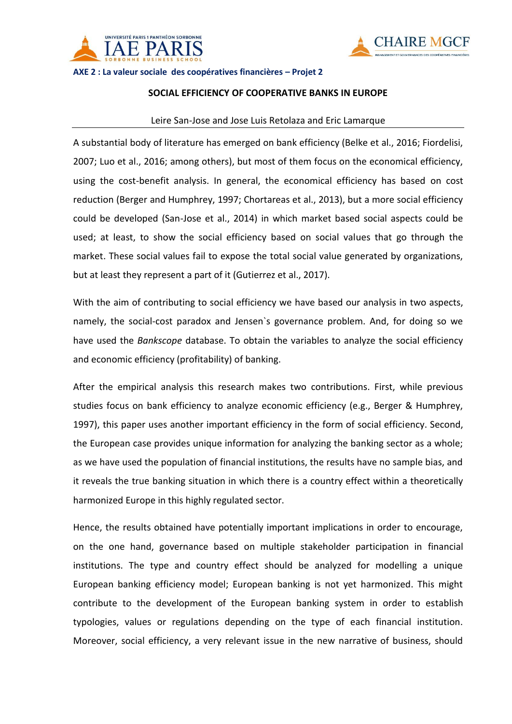



**AXE 2 : La valeur sociale des coopératives financières – Projet 2**

## **SOCIAL EFFICIENCY OF COOPERATIVE BANKS IN EUROPE**

## Leire San-Jose and Jose Luis Retolaza and Eric Lamarque

A substantial body of literature has emerged on bank efficiency (Belke et al., 2016; Fiordelisi, 2007; Luo et al., 2016; among others), but most of them focus on the economical efficiency, using the cost-benefit analysis. In general, the economical efficiency has based on cost reduction (Berger and Humphrey, 1997; Chortareas et al., 2013), but a more social efficiency could be developed (San-Jose et al., 2014) in which market based social aspects could be used; at least, to show the social efficiency based on social values that go through the market. These social values fail to expose the total social value generated by organizations, but at least they represent a part of it (Gutierrez et al., 2017).

With the aim of contributing to social efficiency we have based our analysis in two aspects, namely, the social-cost paradox and Jensen`s governance problem. And, for doing so we have used the *Bankscope* database. To obtain the variables to analyze the social efficiency and economic efficiency (profitability) of banking.

After the empirical analysis this research makes two contributions. First, while previous studies focus on bank efficiency to analyze economic efficiency (e.g., Berger & Humphrey, 1997), this paper uses another important efficiency in the form of social efficiency. Second, the European case provides unique information for analyzing the banking sector as a whole; as we have used the population of financial institutions, the results have no sample bias, and it reveals the true banking situation in which there is a country effect within a theoretically harmonized Europe in this highly regulated sector.

Hence, the results obtained have potentially important implications in order to encourage, on the one hand, governance based on multiple stakeholder participation in financial institutions. The type and country effect should be analyzed for modelling a unique European banking efficiency model; European banking is not yet harmonized. This might contribute to the development of the European banking system in order to establish typologies, values or regulations depending on the type of each financial institution. Moreover, social efficiency, a very relevant issue in the new narrative of business, should